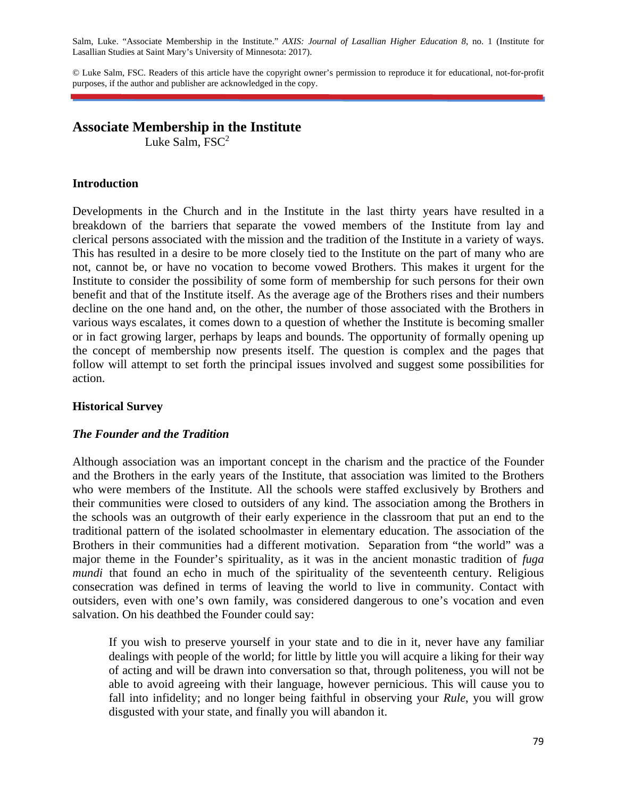Salm, Luke. "Associate Membership in the Institute." *AXIS: Journal of Lasallian Higher Education 8*, no. 1 (Institute for Lasallian Studies at Saint Mary's University of Minnesota: 2017).

© Luke Salm, FSC. Readers of this article have the copyright owner's permission to reproduce it for educational, not-for-profit purposes, if the author and publisher are acknowledged in the copy.

# **Associate Membership in the Institute**

Luke Salm, FSC<sup>2</sup>

#### **Introduction**

Developments in the Church and in the Institute in the last thirty years have resulted in a breakdown of the barriers that separate the vowed members of the Institute from lay and clerical persons associated with the mission and the tradition of the Institute in a variety of ways. This has resulted in a desire to be more closely tied to the Institute on the part of many who are not, cannot be, or have no vocation to become vowed Brothers. This makes it urgent for the Institute to consider the possibility of some form of membership for such persons for their own benefit and that of the Institute itself. As the average age of the Brothers rises and their numbers decline on the one hand and, on the other, the number of those associated with the Brothers in various ways escalates, it comes down to a question of whether the Institute is becoming smaller or in fact growing larger, perhaps by leaps and bounds. The opportunity of formally opening up the concept of membership now presents itself. The question is complex and the pages that follow will attempt to set forth the principal issues involved and suggest some possibilities for action.

#### **Historical Survey**

#### *The Founder and the Tradition*

Although association was an important concept in the charism and the practice of the Founder and the Brothers in the early years of the Institute, that association was limited to the Brothers who were members of the Institute. All the schools were staffed exclusively by Brothers and their communities were closed to outsiders of any kind. The association among the Brothers in the schools was an outgrowth of their early experience in the classroom that put an end to the traditional pattern of the isolated schoolmaster in elementary education. The association of the Brothers in their communities had a different motivation. Separation from "the world" was a major theme in the Founder's spirituality, as it was in the ancient monastic tradition of *fuga mundi* that found an echo in much of the spirituality of the seventeenth century. Religious consecration was defined in terms of leaving the world to live in community. Contact with outsiders, even with one's own family, was considered dangerous to one's vocation and even salvation. On his deathbed the Founder could say:

If you wish to preserve yourself in your state and to die in it, never have any familiar dealings with people of the world; for little by little you will acquire a liking for their way of acting and will be drawn into conversation so that, through politeness, you will not be able to avoid agreeing with their language, however pernicious. This will cause you to fall into infidelity; and no longer being faithful in observing your *Rule*, you will grow disgusted with your state, and finally you will abandon it.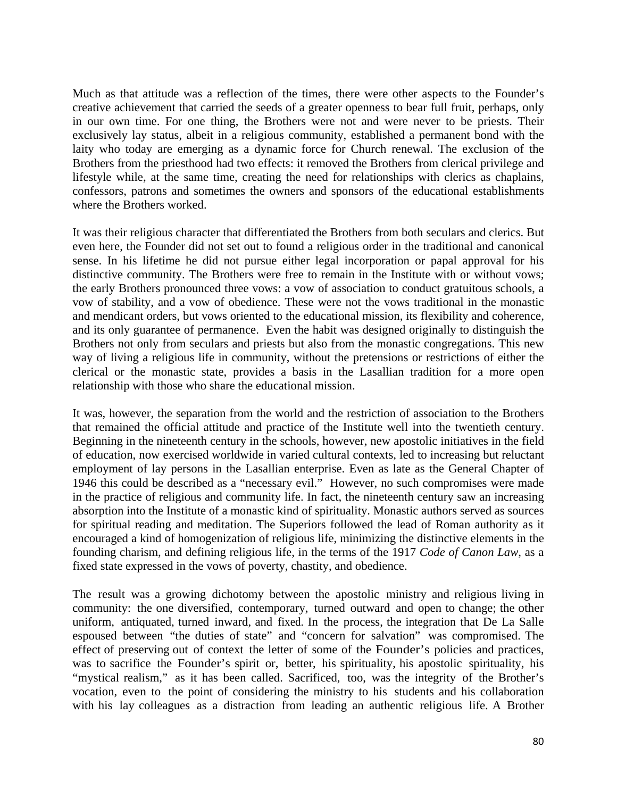Much as that attitude was a reflection of the times, there were other aspects to the Founder's creative achievement that carried the seeds of a greater openness to bear full fruit, perhaps, only in our own time. For one thing, the Brothers were not and were never to be priests. Their exclusively lay status, albeit in a religious community, established a permanent bond with the laity who today are emerging as a dynamic force for Church renewal. The exclusion of the Brothers from the priesthood had two effects: it removed the Brothers from clerical privilege and lifestyle while, at the same time, creating the need for relationships with clerics as chaplains, confessors, patrons and sometimes the owners and sponsors of the educational establishments where the Brothers worked.

It was their religious character that differentiated the Brothers from both seculars and clerics. But even here, the Founder did not set out to found a religious order in the traditional and canonical sense. In his lifetime he did not pursue either legal incorporation or papal approval for his distinctive community. The Brothers were free to remain in the Institute with or without vows; the early Brothers pronounced three vows: a vow of association to conduct gratuitous schools, a vow of stability, and a vow of obedience. These were not the vows traditional in the monastic and mendicant orders, but vows oriented to the educational mission, its flexibility and coherence, and its only guarantee of permanence. Even the habit was designed originally to distinguish the Brothers not only from seculars and priests but also from the monastic congregations. This new way of living a religious life in community, without the pretensions or restrictions of either the clerical or the monastic state, provides a basis in the Lasallian tradition for a more open relationship with those who share the educational mission.

It was, however, the separation from the world and the restriction of association to the Brothers that remained the official attitude and practice of the Institute well into the twentieth century. Beginning in the nineteenth century in the schools, however, new apostolic initiatives in the field of education, now exercised worldwide in varied cultural contexts, led to increasing but reluctant employment of lay persons in the Lasallian enterprise. Even as late as the General Chapter of 1946 this could be described as a "necessary evil." However, no such compromises were made in the practice of religious and community life. In fact, the nineteenth century saw an increasing absorption into the Institute of a monastic kind of spirituality. Monastic authors served as sources for spiritual reading and meditation. The Superiors followed the lead of Roman authority as it encouraged a kind of homogenization of religious life, minimizing the distinctive elements in the founding charism, and defining religious life, in the terms of the 1917 *Code of Canon Law*, as a fixed state expressed in the vows of poverty, chastity, and obedience.

The result was a growing dichotomy between the apostolic ministry and religious living in community: the one diversified, contemporary, turned outward and open to change; the other uniform, antiquated, turned inward, and fixed. In the process, the integration that De La Salle espoused between "the duties of state" and "concern for salvation" was compromised. The effect of preserving out of context the letter of some of the Founder's policies and practices, was to sacrifice the Founder's spirit or, better, his spirituality, his apostolic spirituality, his "mystical realism," as it has been called. Sacrificed, too, was the integrity of the Brother's vocation, even to the point of considering the ministry to his students and his collaboration with his lay colleagues as a distraction from leading an authentic religious life. A Brother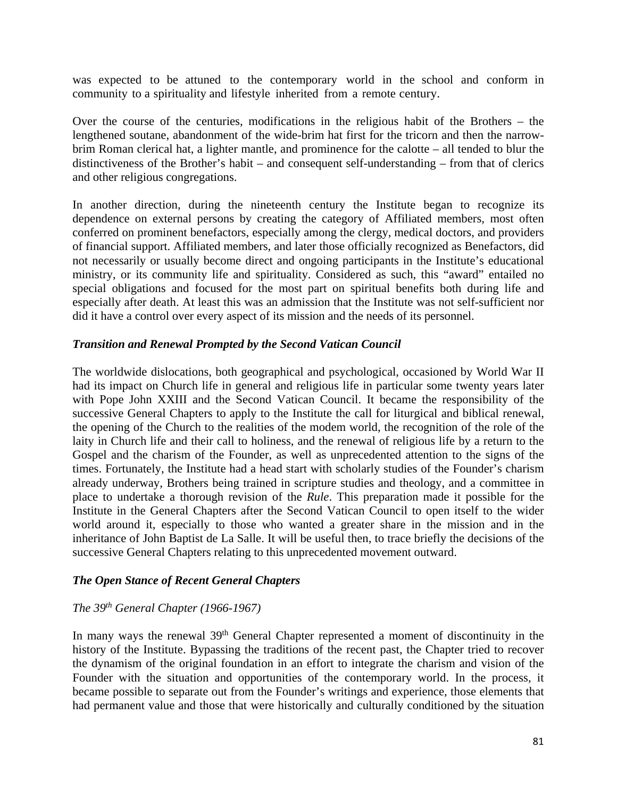was expected to be attuned to the contemporary world in the school and conform in community to a spirituality and lifestyle inherited from a remote century.

Over the course of the centuries, modifications in the religious habit of the Brothers – the lengthened soutane, abandonment of the wide-brim hat first for the tricorn and then the narrowbrim Roman clerical hat, a lighter mantle, and prominence for the calotte – all tended to blur the distinctiveness of the Brother's habit – and consequent self-understanding – from that of clerics and other religious congregations.

In another direction, during the nineteenth century the Institute began to recognize its dependence on external persons by creating the category of Affiliated members, most often conferred on prominent benefactors, especially among the clergy, medical doctors, and providers of financial support. Affiliated members, and later those officially recognized as Benefactors, did not necessarily or usually become direct and ongoing participants in the Institute's educational ministry, or its community life and spirituality. Considered as such, this "award" entailed no special obligations and focused for the most part on spiritual benefits both during life and especially after death. At least this was an admission that the Institute was not self-sufficient nor did it have a control over every aspect of its mission and the needs of its personnel.

#### *Transition and Renewal Prompted by the Second Vatican Council*

The worldwide dislocations, both geographical and psychological, occasioned by World War II had its impact on Church life in general and religious life in particular some twenty years later with Pope John XXIII and the Second Vatican Council. It became the responsibility of the successive General Chapters to apply to the Institute the call for liturgical and biblical renewal, the opening of the Church to the realities of the modem world, the recognition of the role of the laity in Church life and their call to holiness, and the renewal of religious life by a return to the Gospel and the charism of the Founder, as well as unprecedented attention to the signs of the times. Fortunately, the Institute had a head start with scholarly studies of the Founder's charism already underway, Brothers being trained in scripture studies and theology, and a committee in place to undertake a thorough revision of the *Rule*. This preparation made it possible for the Institute in the General Chapters after the Second Vatican Council to open itself to the wider world around it, especially to those who wanted a greater share in the mission and in the inheritance of John Baptist de La Salle. It will be useful then, to trace briefly the decisions of the successive General Chapters relating to this unprecedented movement outward.

### *The Open Stance of Recent General Chapters*

### *The 39th General Chapter (1966-1967)*

In many ways the renewal 39<sup>th</sup> General Chapter represented a moment of discontinuity in the history of the Institute. Bypassing the traditions of the recent past, the Chapter tried to recover the dynamism of the original foundation in an effort to integrate the charism and vision of the Founder with the situation and opportunities of the contemporary world. In the process, it became possible to separate out from the Founder's writings and experience, those elements that had permanent value and those that were historically and culturally conditioned by the situation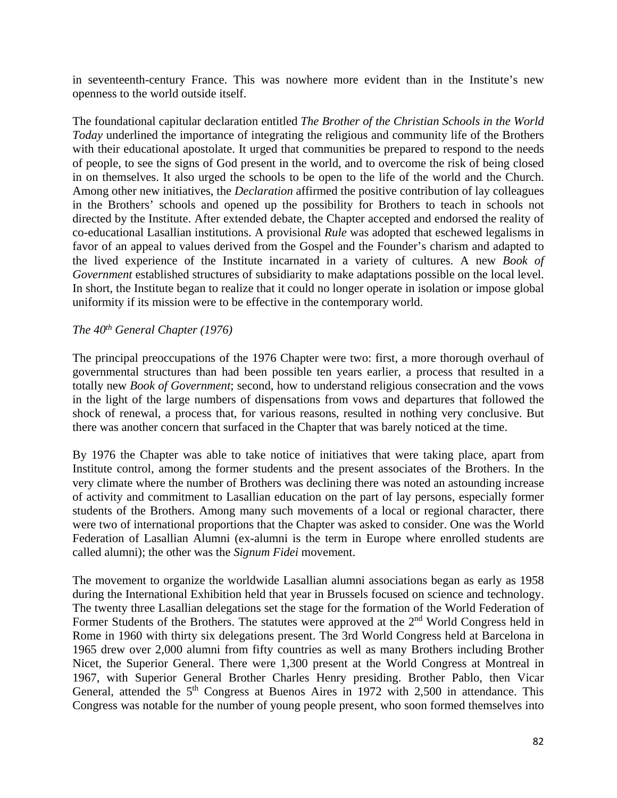in seventeenth-century France. This was nowhere more evident than in the Institute's new openness to the world outside itself.

The foundational capitular declaration entitled *The Brother of the Christian Schools in the World Today* underlined the importance of integrating the religious and community life of the Brothers with their educational apostolate. It urged that communities be prepared to respond to the needs of people, to see the signs of God present in the world, and to overcome the risk of being closed in on themselves. It also urged the schools to be open to the life of the world and the Church. Among other new initiatives, the *Declaration* affirmed the positive contribution of lay colleagues in the Brothers' schools and opened up the possibility for Brothers to teach in schools not directed by the Institute. After extended debate, the Chapter accepted and endorsed the reality of co-educational Lasallian institutions. A provisional *Rule* was adopted that eschewed legalisms in favor of an appeal to values derived from the Gospel and the Founder's charism and adapted to the lived experience of the Institute incarnated in a variety of cultures. A new *Book of Government* established structures of subsidiarity to make adaptations possible on the local level. In short, the Institute began to realize that it could no longer operate in isolation or impose global uniformity if its mission were to be effective in the contemporary world.

#### *The 40th General Chapter (1976)*

The principal preoccupations of the 1976 Chapter were two: first, a more thorough overhaul of governmental structures than had been possible ten years earlier, a process that resulted in a totally new *Book of Government*; second, how to understand religious consecration and the vows in the light of the large numbers of dispensations from vows and departures that followed the shock of renewal, a process that, for various reasons, resulted in nothing very conclusive. But there was another concern that surfaced in the Chapter that was barely noticed at the time.

By 1976 the Chapter was able to take notice of initiatives that were taking place, apart from Institute control, among the former students and the present associates of the Brothers. In the very climate where the number of Brothers was declining there was noted an astounding increase of activity and commitment to Lasallian education on the part of lay persons, especially former students of the Brothers. Among many such movements of a local or regional character, there were two of international proportions that the Chapter was asked to consider. One was the World Federation of Lasallian Alumni (ex-alumni is the term in Europe where enrolled students are called alumni); the other was the *Signum Fidei* movement.

The movement to organize the worldwide Lasallian alumni associations began as early as 1958 during the International Exhibition held that year in Brussels focused on science and technology. The twenty three Lasallian delegations set the stage for the formation of the World Federation of Former Students of the Brothers. The statutes were approved at the 2<sup>nd</sup> World Congress held in Rome in 1960 with thirty six delegations present. The 3rd World Congress held at Barcelona in 1965 drew over 2,000 alumni from fifty countries as well as many Brothers including Brother Nicet, the Superior General. There were 1,300 present at the World Congress at Montreal in 1967, with Superior General Brother Charles Henry presiding. Brother Pablo, then Vicar General, attended the 5<sup>th</sup> Congress at Buenos Aires in 1972 with 2,500 in attendance. This Congress was notable for the number of young people present, who soon formed themselves into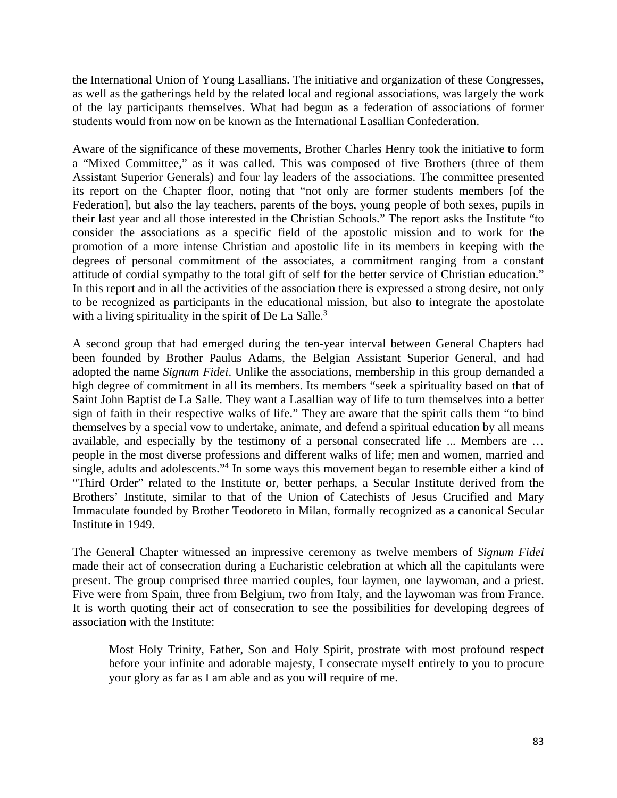the International Union of Young Lasallians. The initiative and organization of these Congresses, as well as the gatherings held by the related local and regional associations, was largely the work of the lay participants themselves. What had begun as a federation of associations of former students would from now on be known as the International Lasallian Confederation.

Aware of the significance of these movements, Brother Charles Henry took the initiative to form a "Mixed Committee," as it was called. This was composed of five Brothers (three of them Assistant Superior Generals) and four lay leaders of the associations. The committee presented its report on the Chapter floor, noting that "not only are former students members [of the Federation], but also the lay teachers, parents of the boys, young people of both sexes, pupils in their last year and all those interested in the Christian Schools." The report asks the Institute "to consider the associations as a specific field of the apostolic mission and to work for the promotion of a more intense Christian and apostolic life in its members in keeping with the degrees of personal commitment of the associates, a commitment ranging from a constant attitude of cordial sympathy to the total gift of self for the better service of Christian education." In this report and in all the activities of the association there is expressed a strong desire, not only to be recognized as participants in the educational mission, but also to integrate the apostolate with a living spirituality in the spirit of De La Salle.<sup>3</sup>

A second group that had emerged during the ten-year interval between General Chapters had been founded by Brother Paulus Adams, the Belgian Assistant Superior General, and had adopted the name *Signum Fidei*. Unlike the associations, membership in this group demanded a high degree of commitment in all its members. Its members "seek a spirituality based on that of Saint John Baptist de La Salle. They want a Lasallian way of life to turn themselves into a better sign of faith in their respective walks of life." They are aware that the spirit calls them "to bind themselves by a special vow to undertake, animate, and defend a spiritual education by all means available, and especially by the testimony of a personal consecrated life ... Members are … people in the most diverse professions and different walks of life; men and women, married and single, adults and adolescents."<sup>4</sup> In some ways this movement began to resemble either a kind of "Third Order" related to the Institute or, better perhaps, a Secular Institute derived from the Brothers' Institute, similar to that of the Union of Catechists of Jesus Crucified and Mary Immaculate founded by Brother Teodoreto in Milan, formally recognized as a canonical Secular Institute in 1949.

The General Chapter witnessed an impressive ceremony as twelve members of *Signum Fidei* made their act of consecration during a Eucharistic celebration at which all the capitulants were present. The group comprised three married couples, four laymen, one laywoman, and a priest. Five were from Spain, three from Belgium, two from Italy, and the laywoman was from France. It is worth quoting their act of consecration to see the possibilities for developing degrees of association with the Institute:

Most Holy Trinity, Father, Son and Holy Spirit, prostrate with most profound respect before your infinite and adorable majesty, I consecrate myself entirely to you to procure your glory as far as I am able and as you will require of me.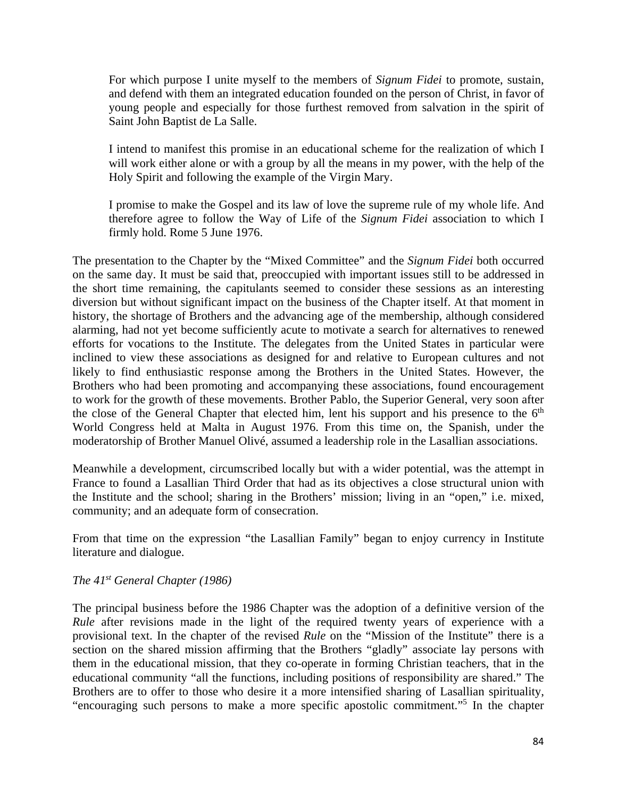For which purpose I unite myself to the members of *Signum Fidei* to promote, sustain, and defend with them an integrated education founded on the person of Christ, in favor of young people and especially for those furthest removed from salvation in the spirit of Saint John Baptist de La Salle.

I intend to manifest this promise in an educational scheme for the realization of which I will work either alone or with a group by all the means in my power, with the help of the Holy Spirit and following the example of the Virgin Mary.

I promise to make the Gospel and its law of love the supreme rule of my whole life. And therefore agree to follow the Way of Life of the *Signum Fidei* association to which I firmly hold. Rome 5 June 1976.

The presentation to the Chapter by the "Mixed Committee" and the *Signum Fidei* both occurred on the same day. It must be said that, preoccupied with important issues still to be addressed in the short time remaining, the capitulants seemed to consider these sessions as an interesting diversion but without significant impact on the business of the Chapter itself. At that moment in history, the shortage of Brothers and the advancing age of the membership, although considered alarming, had not yet become sufficiently acute to motivate a search for alternatives to renewed efforts for vocations to the Institute. The delegates from the United States in particular were inclined to view these associations as designed for and relative to European cultures and not likely to find enthusiastic response among the Brothers in the United States. However, the Brothers who had been promoting and accompanying these associations, found encouragement to work for the growth of these movements. Brother Pablo, the Superior General, very soon after the close of the General Chapter that elected him, lent his support and his presence to the  $6<sup>th</sup>$ World Congress held at Malta in August 1976. From this time on, the Spanish, under the moderatorship of Brother Manuel Olivé, assumed a leadership role in the Lasallian associations.

Meanwhile a development, circumscribed locally but with a wider potential, was the attempt in France to found a Lasallian Third Order that had as its objectives a close structural union with the Institute and the school; sharing in the Brothers' mission; living in an "open," i.e. mixed, community; and an adequate form of consecration.

From that time on the expression "the Lasallian Family" began to enjoy currency in Institute literature and dialogue.

### *The 41st General Chapter (1986)*

The principal business before the 1986 Chapter was the adoption of a definitive version of the *Rule* after revisions made in the light of the required twenty years of experience with a provisional text. In the chapter of the revised *Rule* on the "Mission of the Institute" there is a section on the shared mission affirming that the Brothers "gladly" associate lay persons with them in the educational mission, that they co-operate in forming Christian teachers, that in the educational community "all the functions, including positions of responsibility are shared." The Brothers are to offer to those who desire it a more intensified sharing of Lasallian spirituality, "encouraging such persons to make a more specific apostolic commitment."5 In the chapter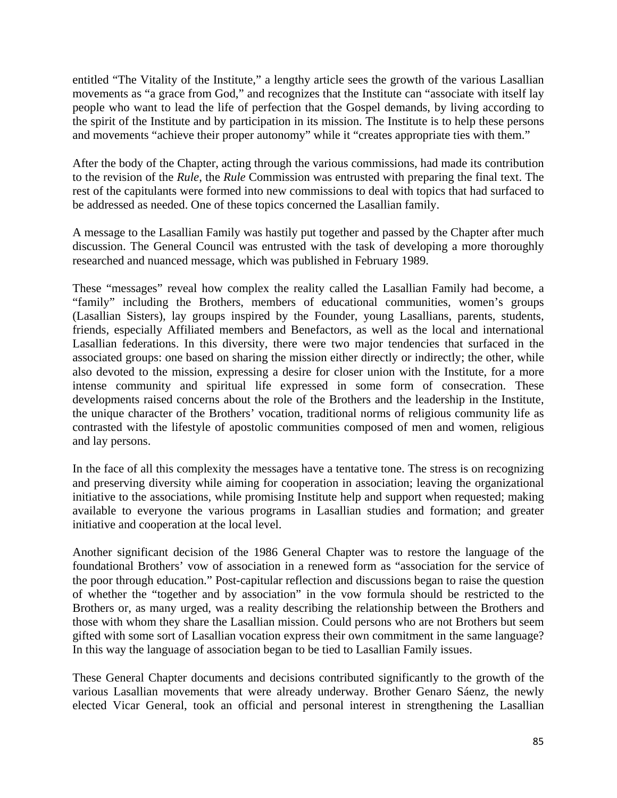entitled "The Vitality of the Institute," a lengthy article sees the growth of the various Lasallian movements as "a grace from God," and recognizes that the Institute can "associate with itself lay people who want to lead the life of perfection that the Gospel demands, by living according to the spirit of the Institute and by participation in its mission. The Institute is to help these persons and movements "achieve their proper autonomy" while it "creates appropriate ties with them."

After the body of the Chapter, acting through the various commissions, had made its contribution to the revision of the *Rule*, the *Rule* Commission was entrusted with preparing the final text. The rest of the capitulants were formed into new commissions to deal with topics that had surfaced to be addressed as needed. One of these topics concerned the Lasallian family.

A message to the Lasallian Family was hastily put together and passed by the Chapter after much discussion. The General Council was entrusted with the task of developing a more thoroughly researched and nuanced message, which was published in February 1989.

These "messages" reveal how complex the reality called the Lasallian Family had become, a "family" including the Brothers, members of educational communities, women's groups (Lasallian Sisters), lay groups inspired by the Founder, young Lasallians, parents, students, friends, especially Affiliated members and Benefactors, as well as the local and international Lasallian federations. In this diversity, there were two major tendencies that surfaced in the associated groups: one based on sharing the mission either directly or indirectly; the other, while also devoted to the mission, expressing a desire for closer union with the Institute, for a more intense community and spiritual life expressed in some form of consecration. These developments raised concerns about the role of the Brothers and the leadership in the Institute, the unique character of the Brothers' vocation, traditional norms of religious community life as contrasted with the lifestyle of apostolic communities composed of men and women, religious and lay persons.

In the face of all this complexity the messages have a tentative tone. The stress is on recognizing and preserving diversity while aiming for cooperation in association; leaving the organizational initiative to the associations, while promising Institute help and support when requested; making available to everyone the various programs in Lasallian studies and formation; and greater initiative and cooperation at the local level.

Another significant decision of the 1986 General Chapter was to restore the language of the foundational Brothers' vow of association in a renewed form as "association for the service of the poor through education." Post-capitular reflection and discussions began to raise the question of whether the "together and by association" in the vow formula should be restricted to the Brothers or, as many urged, was a reality describing the relationship between the Brothers and those with whom they share the Lasallian mission. Could persons who are not Brothers but seem gifted with some sort of Lasallian vocation express their own commitment in the same language? In this way the language of association began to be tied to Lasallian Family issues.

These General Chapter documents and decisions contributed significantly to the growth of the various Lasallian movements that were already underway. Brother Genaro Sáenz, the newly elected Vicar General, took an official and personal interest in strengthening the Lasallian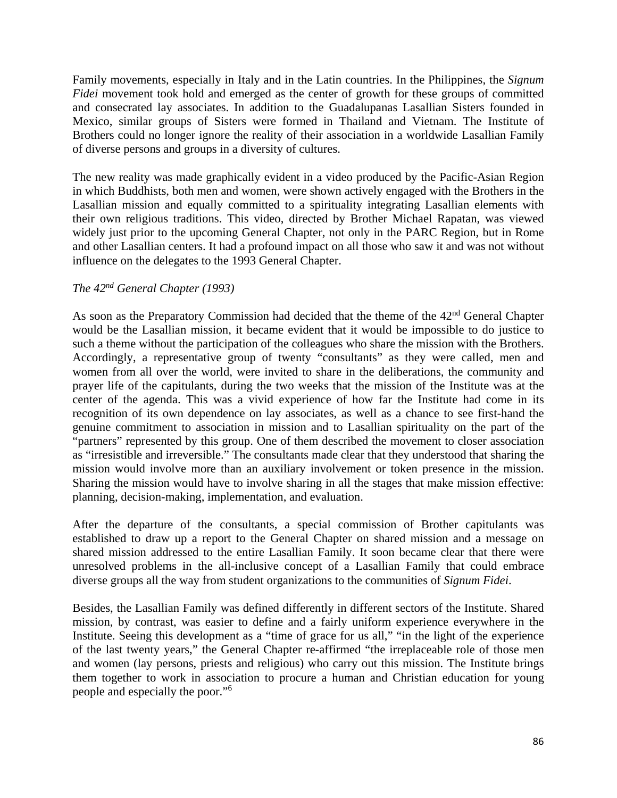Family movements, especially in Italy and in the Latin countries. In the Philippines, the *Signum Fidei* movement took hold and emerged as the center of growth for these groups of committed and consecrated lay associates. In addition to the Guadalupanas Lasallian Sisters founded in Mexico, similar groups of Sisters were formed in Thailand and Vietnam. The Institute of Brothers could no longer ignore the reality of their association in a worldwide Lasallian Family of diverse persons and groups in a diversity of cultures.

The new reality was made graphically evident in a video produced by the Pacific-Asian Region in which Buddhists, both men and women, were shown actively engaged with the Brothers in the Lasallian mission and equally committed to a spirituality integrating Lasallian elements with their own religious traditions. This video, directed by Brother Michael Rapatan, was viewed widely just prior to the upcoming General Chapter, not only in the PARC Region, but in Rome and other Lasallian centers. It had a profound impact on all those who saw it and was not without influence on the delegates to the 1993 General Chapter.

### *The 42nd General Chapter (1993)*

As soon as the Preparatory Commission had decided that the theme of the 42<sup>nd</sup> General Chapter would be the Lasallian mission, it became evident that it would be impossible to do justice to such a theme without the participation of the colleagues who share the mission with the Brothers. Accordingly, a representative group of twenty "consultants" as they were called, men and women from all over the world, were invited to share in the deliberations, the community and prayer life of the capitulants, during the two weeks that the mission of the Institute was at the center of the agenda. This was a vivid experience of how far the Institute had come in its recognition of its own dependence on lay associates, as well as a chance to see first-hand the genuine commitment to association in mission and to Lasallian spirituality on the part of the "partners" represented by this group. One of them described the movement to closer association as "irresistible and irreversible." The consultants made clear that they understood that sharing the mission would involve more than an auxiliary involvement or token presence in the mission. Sharing the mission would have to involve sharing in all the stages that make mission effective: planning, decision-making, implementation, and evaluation.

After the departure of the consultants, a special commission of Brother capitulants was established to draw up a report to the General Chapter on shared mission and a message on shared mission addressed to the entire Lasallian Family. It soon became clear that there were unresolved problems in the all-inclusive concept of a Lasallian Family that could embrace diverse groups all the way from student organizations to the communities of *Signum Fidei*.

Besides, the Lasallian Family was defined differently in different sectors of the Institute. Shared mission, by contrast, was easier to define and a fairly uniform experience everywhere in the Institute. Seeing this development as a "time of grace for us all," "in the light of the experience of the last twenty years," the General Chapter re-affirmed "the irreplaceable role of those men and women (lay persons, priests and religious) who carry out this mission. The Institute brings them together to work in association to procure a human and Christian education for young people and especially the poor."<sup>6</sup>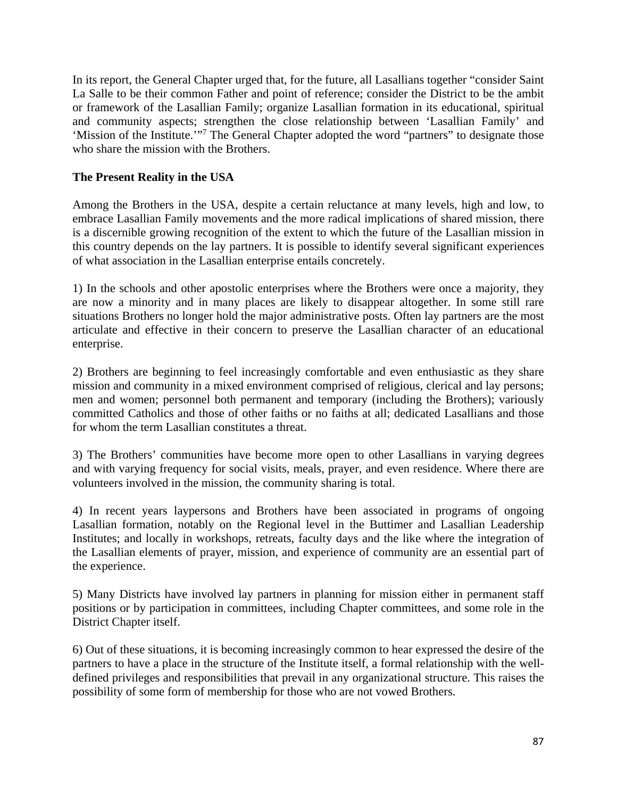In its report, the General Chapter urged that, for the future, all Lasallians together "consider Saint La Salle to be their common Father and point of reference; consider the District to be the ambit or framework of the Lasallian Family; organize Lasallian formation in its educational, spiritual and community aspects; strengthen the close relationship between 'Lasallian Family' and 'Mission of the Institute.'"<sup>7</sup> The General Chapter adopted the word "partners" to designate those who share the mission with the Brothers.

## **The Present Reality in the USA**

Among the Brothers in the USA, despite a certain reluctance at many levels, high and low, to embrace Lasallian Family movements and the more radical implications of shared mission, there is a discernible growing recognition of the extent to which the future of the Lasallian mission in this country depends on the lay partners. It is possible to identify several significant experiences of what association in the Lasallian enterprise entails concretely.

1) In the schools and other apostolic enterprises where the Brothers were once a majority, they are now a minority and in many places are likely to disappear altogether. In some still rare situations Brothers no longer hold the major administrative posts. Often lay partners are the most articulate and effective in their concern to preserve the Lasallian character of an educational enterprise.

2) Brothers are beginning to feel increasingly comfortable and even enthusiastic as they share mission and community in a mixed environment comprised of religious, clerical and lay persons; men and women; personnel both permanent and temporary (including the Brothers); variously committed Catholics and those of other faiths or no faiths at all; dedicated Lasallians and those for whom the term Lasallian constitutes a threat.

3) The Brothers' communities have become more open to other Lasallians in varying degrees and with varying frequency for social visits, meals, prayer, and even residence. Where there are volunteers involved in the mission, the community sharing is total.

4) In recent years laypersons and Brothers have been associated in programs of ongoing Lasallian formation, notably on the Regional level in the Buttimer and Lasallian Leadership Institutes; and locally in workshops, retreats, faculty days and the like where the integration of the Lasallian elements of prayer, mission, and experience of community are an essential part of the experience.

5) Many Districts have involved lay partners in planning for mission either in permanent staff positions or by participation in committees, including Chapter committees, and some role in the District Chapter itself.

6) Out of these situations, it is becoming increasingly common to hear expressed the desire of the partners to have a place in the structure of the Institute itself, a formal relationship with the welldefined privileges and responsibilities that prevail in any organizational structure. This raises the possibility of some form of membership for those who are not vowed Brothers.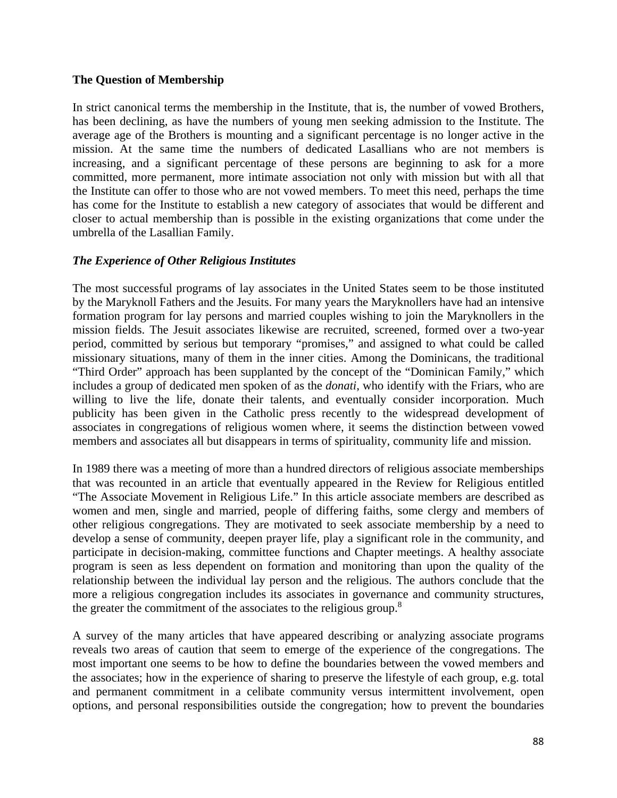#### **The Question of Membership**

In strict canonical terms the membership in the Institute, that is, the number of vowed Brothers, has been declining, as have the numbers of young men seeking admission to the Institute. The average age of the Brothers is mounting and a significant percentage is no longer active in the mission. At the same time the numbers of dedicated Lasallians who are not members is increasing, and a significant percentage of these persons are beginning to ask for a more committed, more permanent, more intimate association not only with mission but with all that the Institute can offer to those who are not vowed members. To meet this need, perhaps the time has come for the Institute to establish a new category of associates that would be different and closer to actual membership than is possible in the existing organizations that come under the umbrella of the Lasallian Family.

### *The Experience of Other Religious Institutes*

The most successful programs of lay associates in the United States seem to be those instituted by the Maryknoll Fathers and the Jesuits. For many years the Maryknollers have had an intensive formation program for lay persons and married couples wishing to join the Maryknollers in the mission fields. The Jesuit associates likewise are recruited, screened, formed over a two-year period, committed by serious but temporary "promises," and assigned to what could be called missionary situations, many of them in the inner cities. Among the Dominicans, the traditional "Third Order" approach has been supplanted by the concept of the "Dominican Family," which includes a group of dedicated men spoken of as the *donati*, who identify with the Friars, who are willing to live the life, donate their talents, and eventually consider incorporation. Much publicity has been given in the Catholic press recently to the widespread development of associates in congregations of religious women where, it seems the distinction between vowed members and associates all but disappears in terms of spirituality, community life and mission.

In 1989 there was a meeting of more than a hundred directors of religious associate memberships that was recounted in an article that eventually appeared in the Review for Religious entitled "The Associate Movement in Religious Life." In this article associate members are described as women and men, single and married, people of differing faiths, some clergy and members of other religious congregations. They are motivated to seek associate membership by a need to develop a sense of community, deepen prayer life, play a significant role in the community, and participate in decision-making, committee functions and Chapter meetings. A healthy associate program is seen as less dependent on formation and monitoring than upon the quality of the relationship between the individual lay person and the religious. The authors conclude that the more a religious congregation includes its associates in governance and community structures, the greater the commitment of the associates to the religious group.<sup>8</sup>

A survey of the many articles that have appeared describing or analyzing associate programs reveals two areas of caution that seem to emerge of the experience of the congregations. The most important one seems to be how to define the boundaries between the vowed members and the associates; how in the experience of sharing to preserve the lifestyle of each group, e.g. total and permanent commitment in a celibate community versus intermittent involvement, open options, and personal responsibilities outside the congregation; how to prevent the boundaries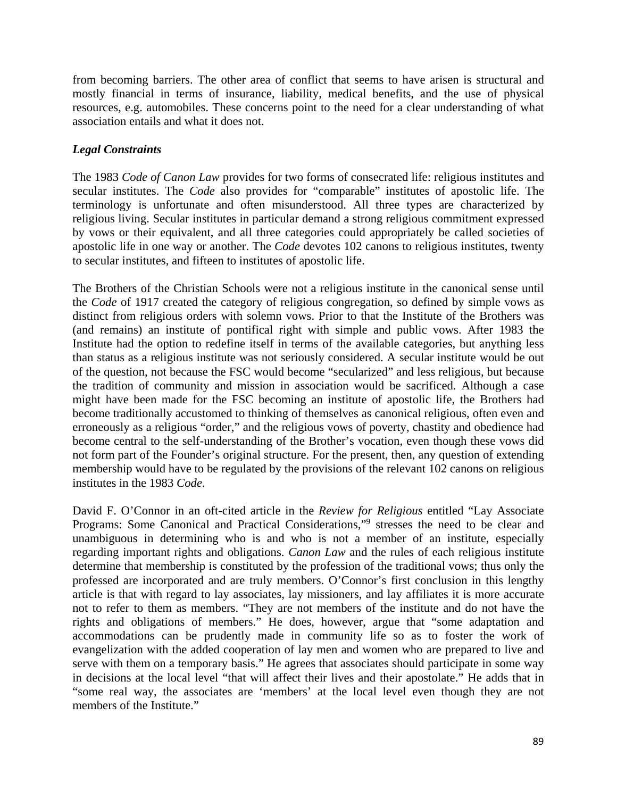from becoming barriers. The other area of conflict that seems to have arisen is structural and mostly financial in terms of insurance, liability, medical benefits, and the use of physical resources, e.g. automobiles. These concerns point to the need for a clear understanding of what association entails and what it does not.

## *Legal Constraints*

The 1983 *Code of Canon Law* provides for two forms of consecrated life: religious institutes and secular institutes. The *Code* also provides for "comparable" institutes of apostolic life. The terminology is unfortunate and often misunderstood. All three types are characterized by religious living. Secular institutes in particular demand a strong religious commitment expressed by vows or their equivalent, and all three categories could appropriately be called societies of apostolic life in one way or another. The *Code* devotes 102 canons to religious institutes, twenty to secular institutes, and fifteen to institutes of apostolic life.

The Brothers of the Christian Schools were not a religious institute in the canonical sense until the *Code* of 1917 created the category of religious congregation, so defined by simple vows as distinct from religious orders with solemn vows. Prior to that the Institute of the Brothers was (and remains) an institute of pontifical right with simple and public vows. After 1983 the Institute had the option to redefine itself in terms of the available categories, but anything less than status as a religious institute was not seriously considered. A secular institute would be out of the question, not because the FSC would become "secularized" and less religious, but because the tradition of community and mission in association would be sacrificed. Although a case might have been made for the FSC becoming an institute of apostolic life, the Brothers had become traditionally accustomed to thinking of themselves as canonical religious, often even and erroneously as a religious "order," and the religious vows of poverty, chastity and obedience had become central to the self-understanding of the Brother's vocation, even though these vows did not form part of the Founder's original structure. For the present, then, any question of extending membership would have to be regulated by the provisions of the relevant 102 canons on religious institutes in the 1983 *Code*.

David F. O'Connor in an oft-cited article in the *Review for Religious* entitled "Lay Associate Programs: Some Canonical and Practical Considerations,"<sup>9</sup> stresses the need to be clear and unambiguous in determining who is and who is not a member of an institute, especially regarding important rights and obligations. *Canon Law* and the rules of each religious institute determine that membership is constituted by the profession of the traditional vows; thus only the professed are incorporated and are truly members. O'Connor's first conclusion in this lengthy article is that with regard to lay associates, lay missioners, and lay affiliates it is more accurate not to refer to them as members. "They are not members of the institute and do not have the rights and obligations of members." He does, however, argue that "some adaptation and accommodations can be prudently made in community life so as to foster the work of evangelization with the added cooperation of lay men and women who are prepared to live and serve with them on a temporary basis." He agrees that associates should participate in some way in decisions at the local level "that will affect their lives and their apostolate." He adds that in "some real way, the associates are 'members' at the local level even though they are not members of the Institute."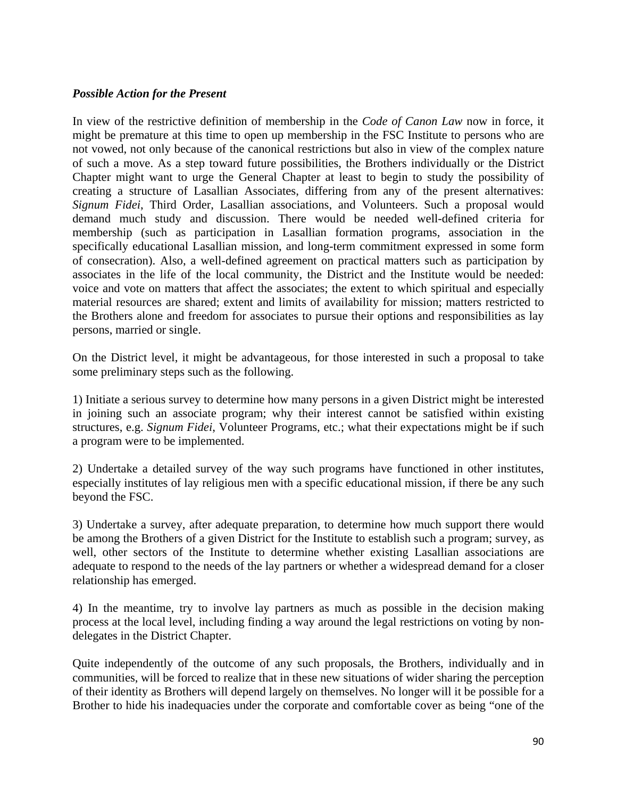#### *Possible Action for the Present*

In view of the restrictive definition of membership in the *Code of Canon Law* now in force, it might be premature at this time to open up membership in the FSC Institute to persons who are not vowed, not only because of the canonical restrictions but also in view of the complex nature of such a move. As a step toward future possibilities, the Brothers individually or the District Chapter might want to urge the General Chapter at least to begin to study the possibility of creating a structure of Lasallian Associates, differing from any of the present alternatives: *Signum Fidei*, Third Order, Lasallian associations, and Volunteers. Such a proposal would demand much study and discussion. There would be needed well-defined criteria for membership (such as participation in Lasallian formation programs, association in the specifically educational Lasallian mission, and long-term commitment expressed in some form of consecration). Also, a well-defined agreement on practical matters such as participation by associates in the life of the local community, the District and the Institute would be needed: voice and vote on matters that affect the associates; the extent to which spiritual and especially material resources are shared; extent and limits of availability for mission; matters restricted to the Brothers alone and freedom for associates to pursue their options and responsibilities as lay persons, married or single.

On the District level, it might be advantageous, for those interested in such a proposal to take some preliminary steps such as the following.

1) Initiate a serious survey to determine how many persons in a given District might be interested in joining such an associate program; why their interest cannot be satisfied within existing structures, e.g. *Signum Fidei*, Volunteer Programs, etc.; what their expectations might be if such a program were to be implemented.

2) Undertake a detailed survey of the way such programs have functioned in other institutes, especially institutes of lay religious men with a specific educational mission, if there be any such beyond the FSC.

3) Undertake a survey, after adequate preparation, to determine how much support there would be among the Brothers of a given District for the Institute to establish such a program; survey, as well, other sectors of the Institute to determine whether existing Lasallian associations are adequate to respond to the needs of the lay partners or whether a widespread demand for a closer relationship has emerged.

4) In the meantime, try to involve lay partners as much as possible in the decision making process at the local level, including finding a way around the legal restrictions on voting by nondelegates in the District Chapter.

Quite independently of the outcome of any such proposals, the Brothers, individually and in communities, will be forced to realize that in these new situations of wider sharing the perception of their identity as Brothers will depend largely on themselves. No longer will it be possible for a Brother to hide his inadequacies under the corporate and comfortable cover as being "one of the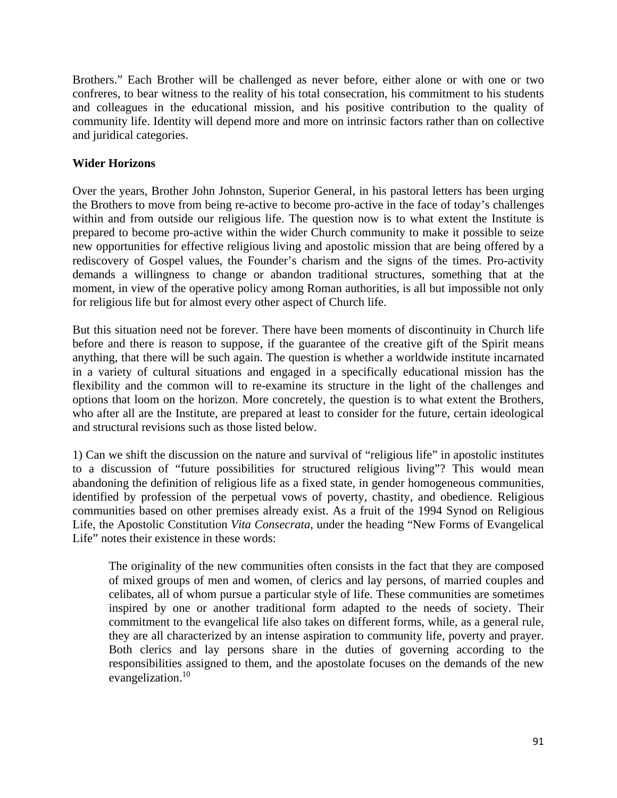Brothers." Each Brother will be challenged as never before, either alone or with one or two confreres, to bear witness to the reality of his total consecration, his commitment to his students and colleagues in the educational mission, and his positive contribution to the quality of community life. Identity will depend more and more on intrinsic factors rather than on collective and juridical categories.

### **Wider Horizons**

Over the years, Brother John Johnston, Superior General, in his pastoral letters has been urging the Brothers to move from being re-active to become pro-active in the face of today's challenges within and from outside our religious life. The question now is to what extent the Institute is prepared to become pro-active within the wider Church community to make it possible to seize new opportunities for effective religious living and apostolic mission that are being offered by a rediscovery of Gospel values, the Founder's charism and the signs of the times. Pro-activity demands a willingness to change or abandon traditional structures, something that at the moment, in view of the operative policy among Roman authorities, is all but impossible not only for religious life but for almost every other aspect of Church life.

But this situation need not be forever. There have been moments of discontinuity in Church life before and there is reason to suppose, if the guarantee of the creative gift of the Spirit means anything, that there will be such again. The question is whether a worldwide institute incarnated in a variety of cultural situations and engaged in a specifically educational mission has the flexibility and the common will to re-examine its structure in the light of the challenges and options that loom on the horizon. More concretely, the question is to what extent the Brothers, who after all are the Institute, are prepared at least to consider for the future, certain ideological and structural revisions such as those listed below.

1) Can we shift the discussion on the nature and survival of "religious life" in apostolic institutes to a discussion of "future possibilities for structured religious living"? This would mean abandoning the definition of religious life as a fixed state, in gender homogeneous communities, identified by profession of the perpetual vows of poverty, chastity, and obedience. Religious communities based on other premises already exist. As a fruit of the 1994 Synod on Religious Life, the Apostolic Constitution *Vita Consecrata*, under the heading "New Forms of Evangelical Life" notes their existence in these words:

The originality of the new communities often consists in the fact that they are composed of mixed groups of men and women, of clerics and lay persons, of married couples and celibates, all of whom pursue a particular style of life. These communities are sometimes inspired by one or another traditional form adapted to the needs of society. Their commitment to the evangelical life also takes on different forms, while, as a general rule, they are all characterized by an intense aspiration to community life, poverty and prayer. Both clerics and lay persons share in the duties of governing according to the responsibilities assigned to them, and the apostolate focuses on the demands of the new evangelization.<sup>10</sup>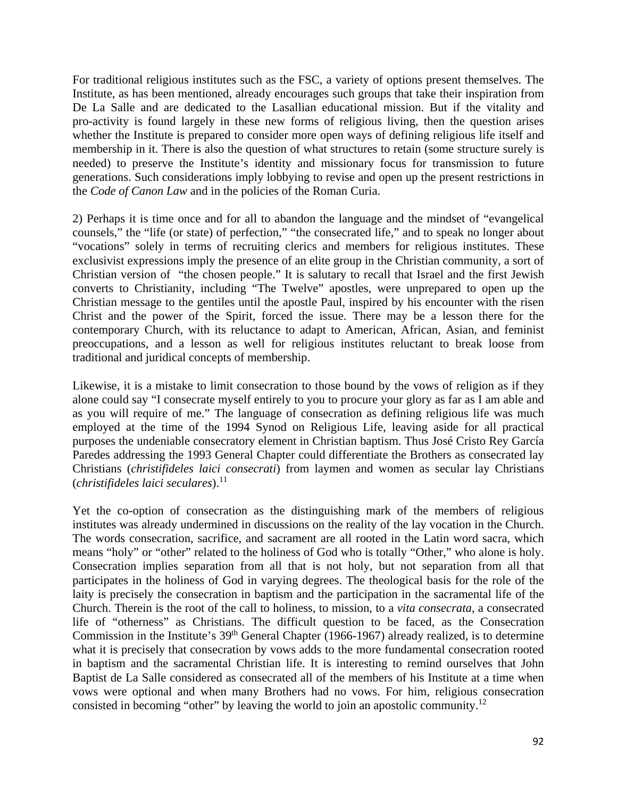For traditional religious institutes such as the FSC, a variety of options present themselves. The Institute, as has been mentioned, already encourages such groups that take their inspiration from De La Salle and are dedicated to the Lasallian educational mission. But if the vitality and pro-activity is found largely in these new forms of religious living, then the question arises whether the Institute is prepared to consider more open ways of defining religious life itself and membership in it. There is also the question of what structures to retain (some structure surely is needed) to preserve the Institute's identity and missionary focus for transmission to future generations. Such considerations imply lobbying to revise and open up the present restrictions in the *Code of Canon Law* and in the policies of the Roman Curia.

2) Perhaps it is time once and for all to abandon the language and the mindset of "evangelical counsels," the "life (or state) of perfection," "the consecrated life," and to speak no longer about "vocations" solely in terms of recruiting clerics and members for religious institutes. These exclusivist expressions imply the presence of an elite group in the Christian community, a sort of Christian version of "the chosen people." It is salutary to recall that Israel and the first Jewish converts to Christianity, including "The Twelve" apostles, were unprepared to open up the Christian message to the gentiles until the apostle Paul, inspired by his encounter with the risen Christ and the power of the Spirit, forced the issue. There may be a lesson there for the contemporary Church, with its reluctance to adapt to American, African, Asian, and feminist preoccupations, and a lesson as well for religious institutes reluctant to break loose from traditional and juridical concepts of membership.

Likewise, it is a mistake to limit consecration to those bound by the vows of religion as if they alone could say "I consecrate myself entirely to you to procure your glory as far as I am able and as you will require of me." The language of consecration as defining religious life was much employed at the time of the 1994 Synod on Religious Life, leaving aside for all practical purposes the undeniable consecratory element in Christian baptism. Thus José Cristo Rey García Paredes addressing the 1993 General Chapter could differentiate the Brothers as consecrated lay Christians (*christifideles laici consecrati*) from laymen and women as secular lay Christians (*christifideles laici seculares*).11

Yet the co-option of consecration as the distinguishing mark of the members of religious institutes was already undermined in discussions on the reality of the lay vocation in the Church. The words consecration, sacrifice, and sacrament are all rooted in the Latin word sacra, which means "holy" or "other" related to the holiness of God who is totally "Other," who alone is holy. Consecration implies separation from all that is not holy, but not separation from all that participates in the holiness of God in varying degrees. The theological basis for the role of the laity is precisely the consecration in baptism and the participation in the sacramental life of the Church. Therein is the root of the call to holiness, to mission, to a *vita consecrata*, a consecrated life of "otherness" as Christians. The difficult question to be faced, as the Consecration Commission in the Institute's 39<sup>th</sup> General Chapter (1966-1967) already realized, is to determine what it is precisely that consecration by vows adds to the more fundamental consecration rooted in baptism and the sacramental Christian life. It is interesting to remind ourselves that John Baptist de La Salle considered as consecrated all of the members of his Institute at a time when vows were optional and when many Brothers had no vows. For him, religious consecration consisted in becoming "other" by leaving the world to join an apostolic community.12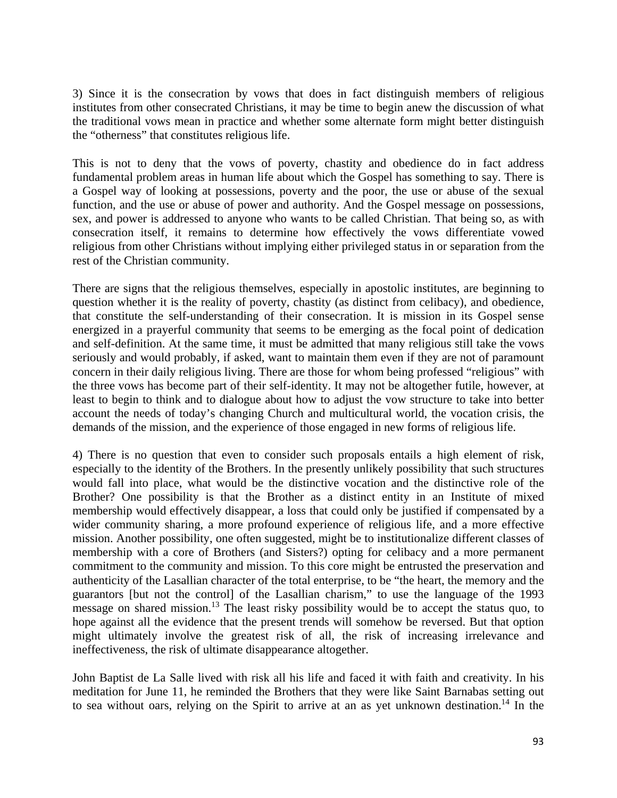3) Since it is the consecration by vows that does in fact distinguish members of religious institutes from other consecrated Christians, it may be time to begin anew the discussion of what the traditional vows mean in practice and whether some alternate form might better distinguish the "otherness" that constitutes religious life.

This is not to deny that the vows of poverty, chastity and obedience do in fact address fundamental problem areas in human life about which the Gospel has something to say. There is a Gospel way of looking at possessions, poverty and the poor, the use or abuse of the sexual function, and the use or abuse of power and authority. And the Gospel message on possessions, sex, and power is addressed to anyone who wants to be called Christian. That being so, as with consecration itself, it remains to determine how effectively the vows differentiate vowed religious from other Christians without implying either privileged status in or separation from the rest of the Christian community.

There are signs that the religious themselves, especially in apostolic institutes, are beginning to question whether it is the reality of poverty, chastity (as distinct from celibacy), and obedience, that constitute the self-understanding of their consecration. It is mission in its Gospel sense energized in a prayerful community that seems to be emerging as the focal point of dedication and self-definition. At the same time, it must be admitted that many religious still take the vows seriously and would probably, if asked, want to maintain them even if they are not of paramount concern in their daily religious living. There are those for whom being professed "religious" with the three vows has become part of their self-identity. It may not be altogether futile, however, at least to begin to think and to dialogue about how to adjust the vow structure to take into better account the needs of today's changing Church and multicultural world, the vocation crisis, the demands of the mission, and the experience of those engaged in new forms of religious life.

4) There is no question that even to consider such proposals entails a high element of risk, especially to the identity of the Brothers. In the presently unlikely possibility that such structures would fall into place, what would be the distinctive vocation and the distinctive role of the Brother? One possibility is that the Brother as a distinct entity in an Institute of mixed membership would effectively disappear, a loss that could only be justified if compensated by a wider community sharing, a more profound experience of religious life, and a more effective mission. Another possibility, one often suggested, might be to institutionalize different classes of membership with a core of Brothers (and Sisters?) opting for celibacy and a more permanent commitment to the community and mission. To this core might be entrusted the preservation and authenticity of the Lasallian character of the total enterprise, to be "the heart, the memory and the guarantors [but not the control] of the Lasallian charism," to use the language of the 1993 message on shared mission.<sup>13</sup> The least risky possibility would be to accept the status quo, to hope against all the evidence that the present trends will somehow be reversed. But that option might ultimately involve the greatest risk of all, the risk of increasing irrelevance and ineffectiveness, the risk of ultimate disappearance altogether.

John Baptist de La Salle lived with risk all his life and faced it with faith and creativity. In his meditation for June 11, he reminded the Brothers that they were like Saint Barnabas setting out to sea without oars, relying on the Spirit to arrive at an as yet unknown destination.<sup>14</sup> In the